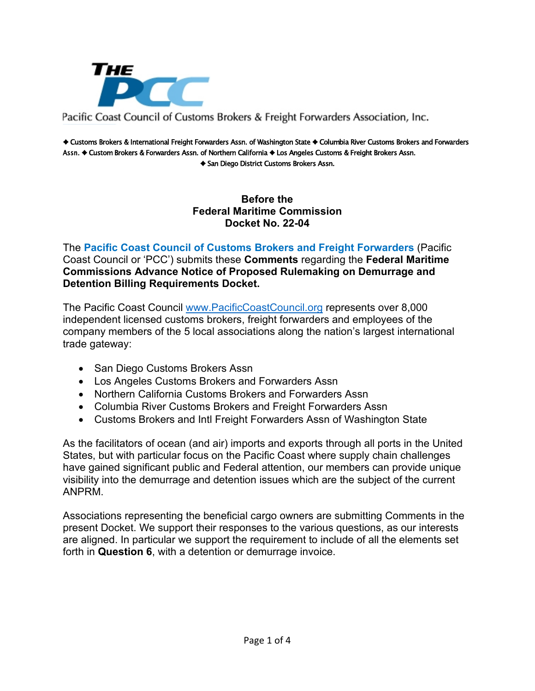

#### Pacific Coast Council of Customs Brokers & Freight Forwarders Association, Inc.

♦ Customs Brokers & International Freight Forwarders Assn. of Washington State ♦ Columbia River Customs Brokers and Forwarders Assn. ♦ Custom Brokers & Forwarders Assn. of Northern California ♦ Los Angeles Customs & Freight Brokers Assn. ♦ San Diego District Customs Brokers Assn.

> **Before the Federal Maritime Commission Docket No. 22-04**

The **Pacific Coast Council of Customs Brokers and Freight Forwarders** (Pacific Coast Council or 'PCC') submits these **Comments** regarding the **Federal Maritime Commissions Advance Notice of Proposed Rulemaking on Demurrage and Detention Billing Requirements Docket.**

The Pacific Coast Council [www.PacificCoastCouncil.org](http://www.pacificcoastcouncil.org/) represents over 8,000 independent licensed customs brokers, freight forwarders and employees of the company members of the 5 local associations along the nation's largest international trade gateway:

- San Diego Customs Brokers Assn
- Los Angeles Customs Brokers and Forwarders Assn
- Northern California Customs Brokers and Forwarders Assn
- Columbia River Customs Brokers and Freight Forwarders Assn
- Customs Brokers and Intl Freight Forwarders Assn of Washington State

As the facilitators of ocean (and air) imports and exports through all ports in the United States, but with particular focus on the Pacific Coast where supply chain challenges have gained significant public and Federal attention, our members can provide unique visibility into the demurrage and detention issues which are the subject of the current ANPRM.

Associations representing the beneficial cargo owners are submitting Comments in the present Docket. We support their responses to the various questions, as our interests are aligned. In particular we support the requirement to include of all the elements set forth in **Question 6**, with a detention or demurrage invoice.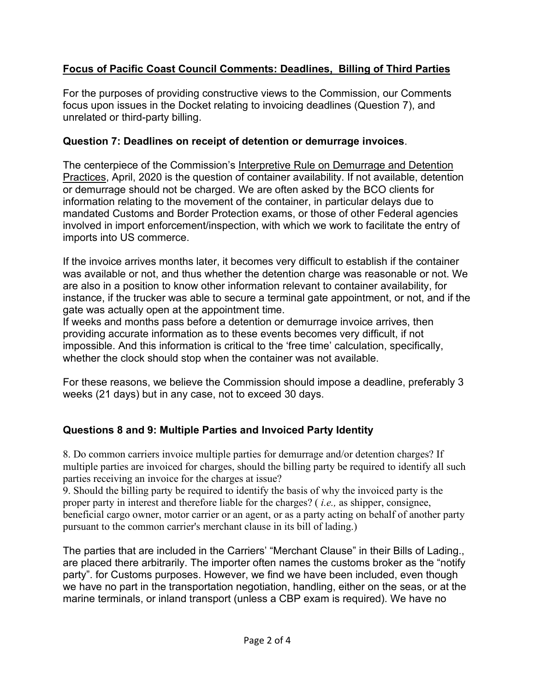# **Focus of Pacific Coast Council Comments: Deadlines, Billing of Third Parties**

For the purposes of providing constructive views to the Commission, our Comments focus upon issues in the Docket relating to invoicing deadlines (Question 7), and unrelated or third-party billing.

### **Question 7: Deadlines on receipt of detention or demurrage invoices**.

The centerpiece of the Commission's Interpretive Rule on Demurrage and Detention Practices, April, 2020 is the question of container availability. If not available, detention or demurrage should not be charged. We are often asked by the BCO clients for information relating to the movement of the container, in particular delays due to mandated Customs and Border Protection exams, or those of other Federal agencies involved in import enforcement/inspection, with which we work to facilitate the entry of imports into US commerce.

If the invoice arrives months later, it becomes very difficult to establish if the container was available or not, and thus whether the detention charge was reasonable or not. We are also in a position to know other information relevant to container availability, for instance, if the trucker was able to secure a terminal gate appointment, or not, and if the gate was actually open at the appointment time.

If weeks and months pass before a detention or demurrage invoice arrives, then providing accurate information as to these events becomes very difficult, if not impossible. And this information is critical to the 'free time' calculation, specifically, whether the clock should stop when the container was not available.

For these reasons, we believe the Commission should impose a deadline, preferably 3 weeks (21 days) but in any case, not to exceed 30 days.

## **Questions 8 and 9: Multiple Parties and Invoiced Party Identity**

8. Do common carriers invoice multiple parties for demurrage and/or detention charges? If multiple parties are invoiced for charges, should the billing party be required to identify all such parties receiving an invoice for the charges at issue?

9. Should the billing party be required to identify the basis of why the invoiced party is the proper party in interest and therefore liable for the charges? ( *i.e.,* as shipper, consignee, beneficial cargo owner, motor carrier or an agent, or as a party acting on behalf of another party pursuant to the common carrier's merchant clause in its bill of lading.)

The parties that are included in the Carriers' "Merchant Clause" in their Bills of Lading., are placed there arbitrarily. The importer often names the customs broker as the "notify party". for Customs purposes. However, we find we have been included, even though we have no part in the transportation negotiation, handling, either on the seas, or at the marine terminals, or inland transport (unless a CBP exam is required). We have no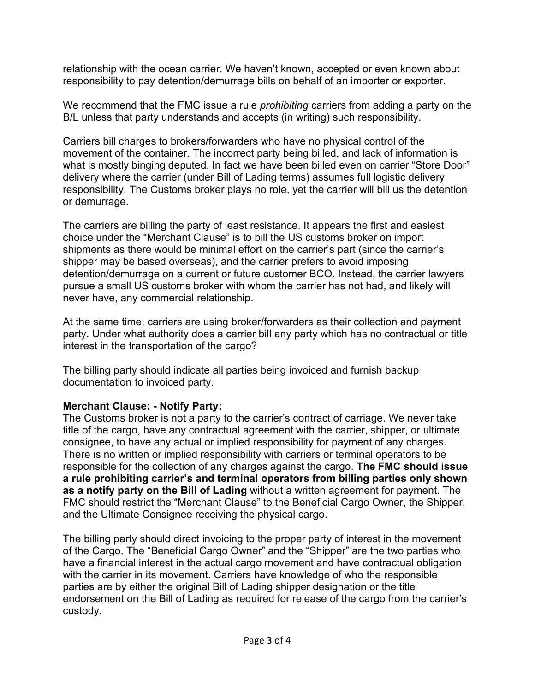relationship with the ocean carrier. We haven't known, accepted or even known about responsibility to pay detention/demurrage bills on behalf of an importer or exporter.

We recommend that the FMC issue a rule *prohibiting* carriers from adding a party on the B/L unless that party understands and accepts (in writing) such responsibility.

Carriers bill charges to brokers/forwarders who have no physical control of the movement of the container. The incorrect party being billed, and lack of information is what is mostly binging deputed. In fact we have been billed even on carrier "Store Door" delivery where the carrier (under Bill of Lading terms) assumes full logistic delivery responsibility. The Customs broker plays no role, yet the carrier will bill us the detention or demurrage.

The carriers are billing the party of least resistance. It appears the first and easiest choice under the "Merchant Clause" is to bill the US customs broker on import shipments as there would be minimal effort on the carrier's part (since the carrier's shipper may be based overseas), and the carrier prefers to avoid imposing detention/demurrage on a current or future customer BCO. Instead, the carrier lawyers pursue a small US customs broker with whom the carrier has not had, and likely will never have, any commercial relationship.

At the same time, carriers are using broker/forwarders as their collection and payment party. Under what authority does a carrier bill any party which has no contractual or title interest in the transportation of the cargo?

The billing party should indicate all parties being invoiced and furnish backup documentation to invoiced party.

## **Merchant Clause: - Notify Party:**

The Customs broker is not a party to the carrier's contract of carriage. We never take title of the cargo, have any contractual agreement with the carrier, shipper, or ultimate consignee, to have any actual or implied responsibility for payment of any charges. There is no written or implied responsibility with carriers or terminal operators to be responsible for the collection of any charges against the cargo. **The FMC should issue a rule prohibiting carrier's and terminal operators from billing parties only shown as a notify party on the Bill of Lading** without a written agreement for payment. The FMC should restrict the "Merchant Clause" to the Beneficial Cargo Owner, the Shipper, and the Ultimate Consignee receiving the physical cargo.

The billing party should direct invoicing to the proper party of interest in the movement of the Cargo. The "Beneficial Cargo Owner" and the "Shipper" are the two parties who have a financial interest in the actual cargo movement and have contractual obligation with the carrier in its movement. Carriers have knowledge of who the responsible parties are by either the original Bill of Lading shipper designation or the title endorsement on the Bill of Lading as required for release of the cargo from the carrier's custody.